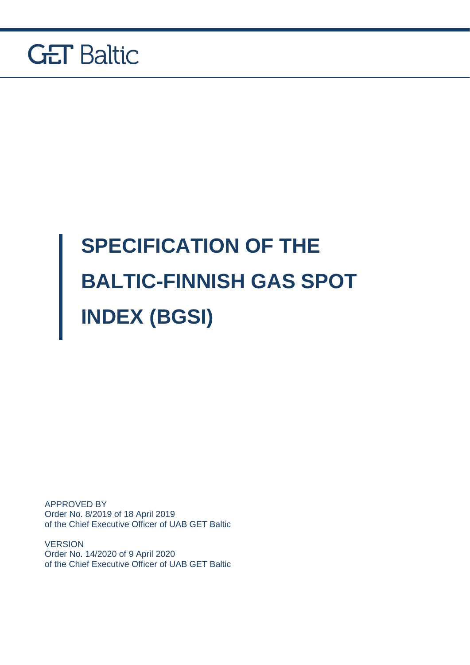

# **SPECIFICATION OF THE BALTIC-FINNISH GAS SPOT INDEX (BGSI)**

APPROVED BY Order No. 8/2019 of 18 April 2019 of the Chief Executive Officer of UAB GET Baltic

**VERSION** Order No. 14/2020 of 9 April 2020 of the Chief Executive Officer of UAB GET Baltic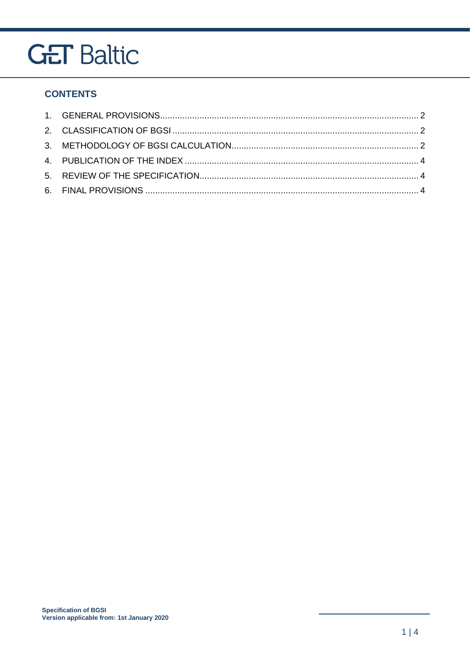### **CONTENTS**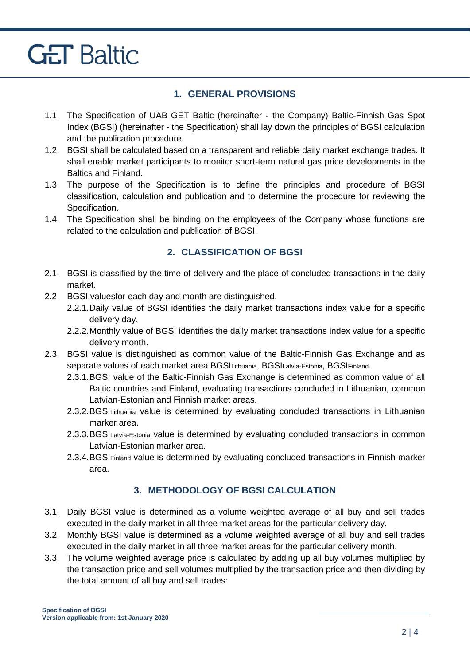### **1. GENERAL PROVISIONS**

- <span id="page-2-0"></span>1.1. The Specification of UAB GET Baltic (hereinafter - the Company) Baltic-Finnish Gas Spot Index (BGSI) (hereinafter - the Specification) shall lay down the principles of BGSI calculation and the publication procedure.
- 1.2. BGSI shall be calculated based on a transparent and reliable daily market exchange trades. It shall enable market participants to monitor short-term natural gas price developments in the Baltics and Finland.
- 1.3. The purpose of the Specification is to define the principles and procedure of BGSI classification, calculation and publication and to determine the procedure for reviewing the Specification.
- 1.4. The Specification shall be binding on the employees of the Company whose functions are related to the calculation and publication of BGSI.

### **2. CLASSIFICATION OF BGSI**

- <span id="page-2-1"></span>2.1. BGSI is classified by the time of delivery and the place of concluded transactions in the daily market.
- 2.2. BGSI valuesfor each day and month are distinguished.
	- 2.2.1.Daily value of BGSI identifies the daily market transactions index value for a specific delivery day.
	- 2.2.2.Monthly value of BGSI identifies the daily market transactions index value for a specific delivery month.
- 2.3. BGSI value is distinguished as common value of the Baltic-Finnish Gas Exchange and as separate values of each market area BGSILithuania, BGSILatvia-Estonia, BGSIFinland.
	- 2.3.1.BGSI value of the Baltic-Finnish Gas Exchange is determined as common value of all Baltic countries and Finland, evaluating transactions concluded in Lithuanian, common Latvian-Estonian and Finnish market areas.
	- 2.3.2. BGSILithuania value is determined by evaluating concluded transactions in Lithuanian marker area.
	- 2.3.3.BGSILatvia-Estonia value is determined by evaluating concluded transactions in common Latvian-Estonian marker area.
	- 2.3.4.BGSIFinland value is determined by evaluating concluded transactions in Finnish marker area.

### **3. METHODOLOGY OF BGSI CALCULATION**

- <span id="page-2-2"></span>3.1. Daily BGSI value is determined as a volume weighted average of all buy and sell trades executed in the daily market in all three market areas for the particular delivery day.
- 3.2. Monthly BGSI value is determined as a volume weighted average of all buy and sell trades executed in the daily market in all three market areas for the particular delivery month.
- 3.3. The volume weighted average price is calculated by adding up all buy volumes multiplied by the transaction price and sell volumes multiplied by the transaction price and then dividing by the total amount of all buy and sell trades: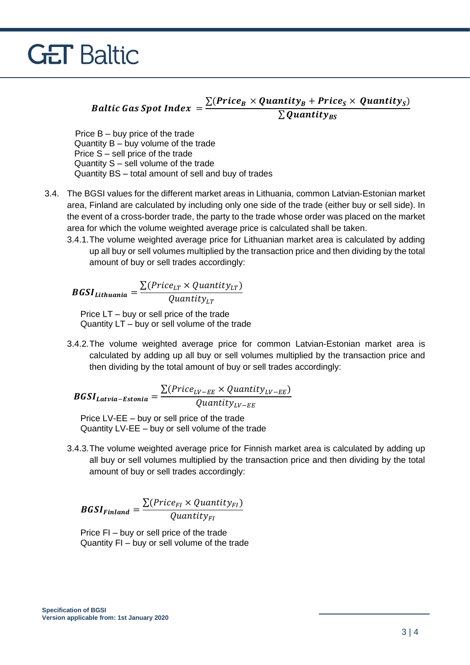### Baltic Gas Spot Index =  $\frac{\sum (Price_B \times Quantity_B + Price_S \times Quantity_S)}{\sum Q_{\text{in}} + Write}$  $\sum \pmb{Quantity}_{\pmb{BS}}$

Price B – buy price of the trade Quantity B – buy volume of the trade Price S – sell price of the trade Quantity S – sell volume of the trade Quantity BS – total amount of sell and buy of trades

- 3.4. The BGSI values for the different market areas in Lithuania, common Latvian-Estonian market area, Finland are calculated by including only one side of the trade (either buy or sell side). In the event of a cross-border trade, the party to the trade whose order was placed on the market area for which the volume weighted average price is calculated shall be taken.
	- 3.4.1.The volume weighted average price for Lithuanian market area is calculated by adding up all buy or sell volumes multiplied by the transaction price and then dividing by the total amount of buy or sell trades accordingly:

**BGSI**<sub>Lithuania</sub> = 
$$
\frac{\sum (Price_{LT} \times Quantity_{LT})}{Quantity_{LT}}
$$

 Price LT – buy or sell price of the trade Quantity LT – buy or sell volume of the trade

3.4.2.The volume weighted average price for common Latvian-Estonian market area is calculated by adding up all buy or sell volumes multiplied by the transaction price and then dividing by the total amount of buy or sell trades accordingly:

 $BGSI_{Latvia-Estonia} =$  $\sum(Price_{LV-EE} \times Quantity_{LV-EE})$  $Quantity_{LV-EE}$ 

 Price LV-EE – buy or sell price of the trade Quantity LV-EE – buy or sell volume of the trade

3.4.3.The volume weighted average price for Finnish market area is calculated by adding up all buy or sell volumes multiplied by the transaction price and then dividing by the total amount of buy or sell trades accordingly:

$$
\textit{BGSI}_{\textit{Finland}} = \frac{\sum (Price_{FI} \times Quantity_{FI})}{Quantity_{FI}}
$$

 Price FI – buy or sell price of the trade Quantity FI – buy or sell volume of the trade